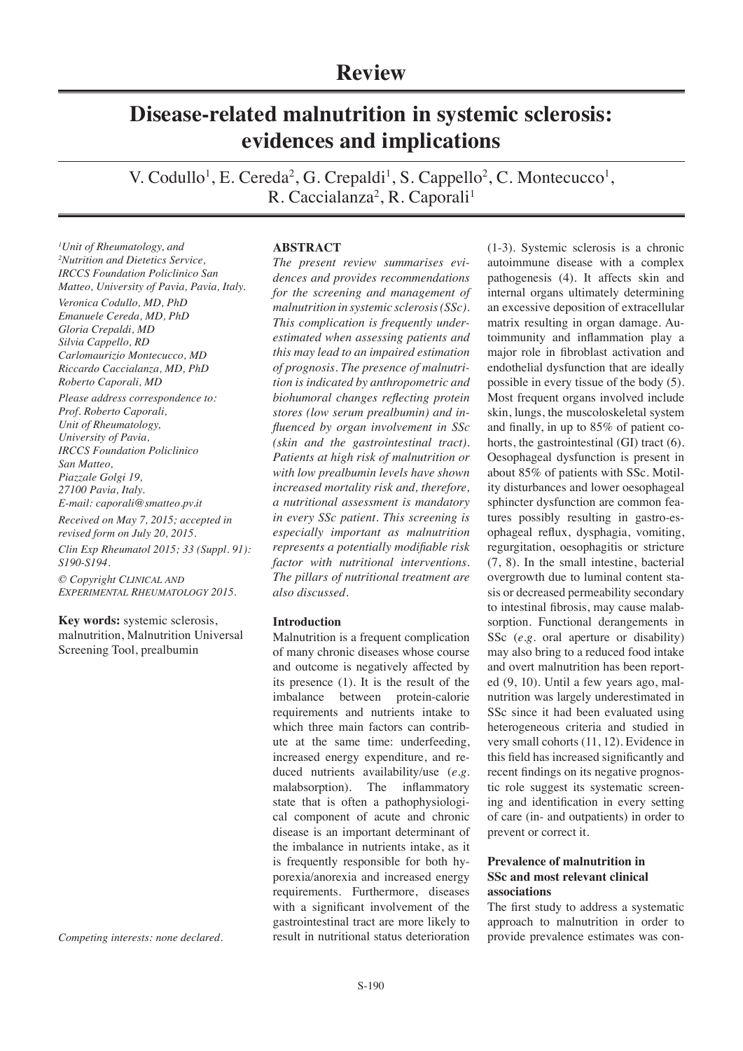# **Disease-related malnutrition in systemic sclerosis: evidences and implications**

V. Codullo<sup>1</sup>, E. Cereda<sup>2</sup>, G. Crepaldi<sup>1</sup>, S. Cappello<sup>2</sup>, C. Montecucco<sup>1</sup>, R. Caccialanza<sup>2</sup>, R. Caporali<sup>1</sup>

*1 Unit of Rheumatology, and 2 Nutrition and Dietetics Service, IRCCS Foundation Policlinico San Matteo, University of Pavia, Pavia, Italy.*

*Veronica Codullo, MD, PhD Emanuele Cereda, MD, PhD Gloria Crepaldi, MD Silvia Cappello, RD Carlomaurizio Montecucco, MD Riccardo Caccialanza, MD, PhD Roberto Caporali, MD*

*Please address correspondence to: Prof. Roberto Caporali, Unit of Rheumatology, University of Pavia, IRCCS Foundation Policlinico San Matteo, Piazzale Golgi 19, 27100 Pavia, Italy. E-mail: caporali@smatteo.pv.it*

*Received on May 7, 2015; accepted in revised form on July 20, 2015.*

*Clin Exp Rheumatol 2015; 33 (Suppl. 91): S190-S194.*

*© Copyright Clinical and Experimental Rheumatology 2015.*

**Key words:** systemic sclerosis, malnutrition, Malnutrition Universal Screening Tool, prealbumin

*Competing interests: none declared.*

## **ABSTRACT**

*The present review summarises evidences and provides recommendations for the screening and management of malnutrition in systemic sclerosis (SSc). This complication is frequently underestimated when assessing patients and this may lead to an impaired estimation of prognosis. The presence of malnutrition is indicated by anthropometric and biohumoral changes reflecting protein stores (low serum prealbumin) and influenced by organ involvement in SSc (skin and the gastrointestinal tract). Patients at high risk of malnutrition or with low prealbumin levels have shown increased mortality risk and, therefore, a nutritional assessment is mandatory in every SSc patient. This screening is especially important as malnutrition represents a potentially modifiable risk factor with nutritional interventions. The pillars of nutritional treatment are also discussed.*

# **Introduction**

Malnutrition is a frequent complication of many chronic diseases whose course and outcome is negatively affected by its presence (1). It is the result of the imbalance between protein-calorie requirements and nutrients intake to which three main factors can contribute at the same time: underfeeding, increased energy expenditure, and reduced nutrients availability/use (*e.g.*  malabsorption). The inflammatory state that is often a pathophysiological component of acute and chronic disease is an important determinant of the imbalance in nutrients intake, as it is frequently responsible for both hyporexia/anorexia and increased energy requirements. Furthermore, diseases with a significant involvement of the gastrointestinal tract are more likely to result in nutritional status deterioration

(1-3). Systemic sclerosis is a chronic autoimmune disease with a complex pathogenesis (4). It affects skin and internal organs ultimately determining an excessive deposition of extracellular matrix resulting in organ damage. Autoimmunity and inflammation play a major role in fibroblast activation and endothelial dysfunction that are ideally possible in every tissue of the body (5). Most frequent organs involved include skin, lungs, the muscoloskeletal system and finally, in up to 85% of patient cohorts, the gastrointestinal (GI) tract (6). Oesophageal dysfunction is present in about 85% of patients with SSc. Motility disturbances and lower oesophageal sphincter dysfunction are common features possibly resulting in gastro-esophageal reflux, dysphagia, vomiting, regurgitation, oesophagitis or stricture (7, 8). In the small intestine, bacterial overgrowth due to luminal content stasis or decreased permeability secondary to intestinal fibrosis, may cause malabsorption. Functional derangements in SSc (*e.g.* oral aperture or disability) may also bring to a reduced food intake and overt malnutrition has been reported (9, 10). Until a few years ago, malnutrition was largely underestimated in SSc since it had been evaluated using heterogeneous criteria and studied in very small cohorts (11, 12). Evidence in this field has increased significantly and recent findings on its negative prognostic role suggest its systematic screening and identification in every setting of care (in- and outpatients) in order to prevent or correct it.

# **Prevalence of malnutrition in SSc and most relevant clinical associations**

The first study to address a systematic approach to malnutrition in order to provide prevalence estimates was con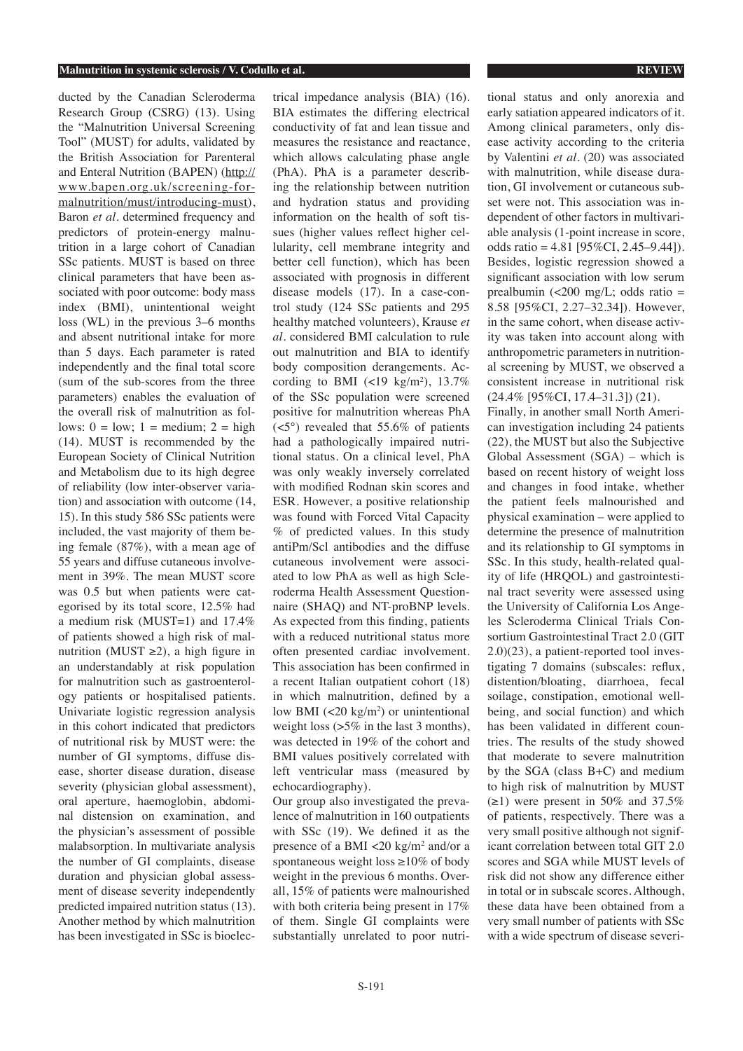ducted by the Canadian Scleroderma Research Group (CSRG) (13). Using the "Malnutrition Universal Screening Tool" (MUST) for adults, validated by the British Association for Parenteral and Enteral Nutrition (BAPEN) (http:// www.bapen.org.uk/screening-formalnutrition/must/introducing-must), Baron *et al.* determined frequency and predictors of protein-energy malnutrition in a large cohort of Canadian SSc patients. MUST is based on three clinical parameters that have been associated with poor outcome: body mass index (BMI), unintentional weight loss (WL) in the previous 3–6 months and absent nutritional intake for more than 5 days. Each parameter is rated independently and the final total score (sum of the sub-scores from the three parameters) enables the evaluation of the overall risk of malnutrition as follows:  $0 =$ low;  $1 =$  medium;  $2 =$ high (14). MUST is recommended by the European Society of Clinical Nutrition and Metabolism due to its high degree of reliability (low inter-observer variation) and association with outcome (14, 15). In this study 586 SSc patients were included, the vast majority of them being female (87%), with a mean age of 55 years and diffuse cutaneous involvement in 39%. The mean MUST score was 0.5 but when patients were categorised by its total score, 12.5% had a medium risk (MUST=1) and 17.4% of patients showed a high risk of malnutrition (MUST  $\geq$ 2), a high figure in an understandably at risk population for malnutrition such as gastroenterology patients or hospitalised patients. Univariate logistic regression analysis in this cohort indicated that predictors of nutritional risk by MUST were: the number of GI symptoms, diffuse disease, shorter disease duration, disease severity (physician global assessment), oral aperture, haemoglobin, abdominal distension on examination, and the physician's assessment of possible malabsorption. In multivariate analysis the number of GI complaints, disease duration and physician global assessment of disease severity independently predicted impaired nutrition status (13). Another method by which malnutrition has been investigated in SSc is bioelectrical impedance analysis (BIA) (16). BIA estimates the differing electrical conductivity of fat and lean tissue and measures the resistance and reactance, which allows calculating phase angle (PhA). PhA is a parameter describing the relationship between nutrition and hydration status and providing information on the health of soft tissues (higher values reflect higher cellularity, cell membrane integrity and better cell function), which has been associated with prognosis in different disease models (17). In a case-control study (124 SSc patients and 295 healthy matched volunteers), Krause *et al.* considered BMI calculation to rule out malnutrition and BIA to identify body composition derangements. According to BMI  $\left(\frac{19 \text{ kg/m}^2}{\text{m}^2}\right)$ , 13.7% of the SSc population were screened positive for malnutrition whereas PhA  $(<5^{\circ}$ ) revealed that 55.6% of patients had a pathologically impaired nutritional status. On a clinical level, PhA was only weakly inversely correlated with modified Rodnan skin scores and ESR. However, a positive relationship was found with Forced Vital Capacity % of predicted values. In this study antiPm/Scl antibodies and the diffuse cutaneous involvement were associated to low PhA as well as high Scleroderma Health Assessment Questionnaire (SHAQ) and NT-proBNP levels. As expected from this finding, patients with a reduced nutritional status more often presented cardiac involvement. This association has been confirmed in a recent Italian outpatient cohort (18) in which malnutrition, defined by a low BMI  $\left($ <20 kg/m<sup>2</sup>) or unintentional weight loss (>5% in the last 3 months), was detected in 19% of the cohort and BMI values positively correlated with left ventricular mass (measured by echocardiography).

Our group also investigated the prevalence of malnutrition in 160 outpatients with SSc (19). We defined it as the presence of a BMI <20 kg/m2 and/or a spontaneous weight loss ≥10% of body weight in the previous 6 months. Overall, 15% of patients were malnourished with both criteria being present in 17% of them. Single GI complaints were substantially unrelated to poor nutritional status and only anorexia and early satiation appeared indicators of it. Among clinical parameters, only disease activity according to the criteria by Valentini et al. (20) was associated with malnutrition, while disease duration, GI involvement or cutaneous subset were not. This association was independent of other factors in multivariable analysis (1-point increase in score, odds ratio =  $4.81$  [ $95\%$ CI, 2.45– $9.44$ ]). Besides, logistic regression showed a significant association with low serum prealbumin  $\left( < 200 \right)$  mg/L; odds ratio = 8.58 [95%CI, 2.27–32.34]). However, in the same cohort, when disease activity was taken into account along with anthropometric parameters in nutritional screening by MUST, we observed a consistent increase in nutritional risk (24.4% [95%CI, 17.4–31.3]) (21).

Finally, in another small North American investigation including 24 patients (22), the MUST but also the Subjective Global Assessment (SGA) – which is based on recent history of weight loss and changes in food intake, whether the patient feels malnourished and physical examination – were applied to determine the presence of malnutrition and its relationship to GI symptoms in SSc. In this study, health-related quality of life (HRQOL) and gastrointestinal tract severity were assessed using the University of California Los Angeles Scleroderma Clinical Trials Consortium Gastrointestinal Tract 2.0 (GIT 2.0)(23), a patient-reported tool investigating 7 domains (subscales: reflux, distention/bloating, diarrhoea, fecal soilage, constipation, emotional wellbeing, and social function) and which has been validated in different countries. The results of the study showed that moderate to severe malnutrition by the SGA (class B+C) and medium to high risk of malnutrition by MUST  $(\geq 1)$  were present in 50% and 37.5% of patients, respectively. There was a very small positive although not significant correlation between total GIT 2.0 scores and SGA while MUST levels of risk did not show any difference either in total or in subscale scores. Although, these data have been obtained from a very small number of patients with SSc with a wide spectrum of disease severi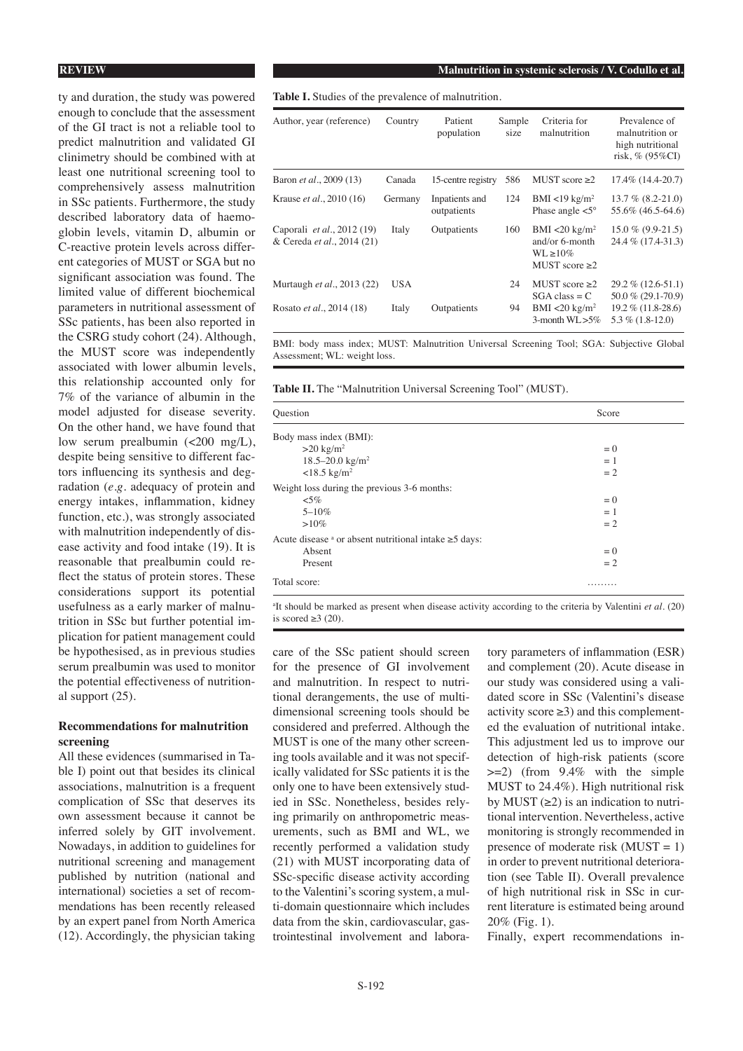ty and duration, the study was powered enough to conclude that the assessment of the GI tract is not a reliable tool to predict malnutrition and validated GI clinimetry should be combined with at least one nutritional screening tool to comprehensively assess malnutrition in SSc patients. Furthermore, the study described laboratory data of haemoglobin levels, vitamin D, albumin or C-reactive protein levels across different categories of MUST or SGA but no significant association was found. The limited value of different biochemical parameters in nutritional assessment of SSc patients, has been also reported in the CSRG study cohort (24). Although, the MUST score was independently associated with lower albumin levels, this relationship accounted only for 7% of the variance of albumin in the model adjusted for disease severity. On the other hand, we have found that low serum prealbumin  $\left( < 200 \, \text{mg/L} \right)$ , despite being sensitive to different factors influencing its synthesis and degradation (*e.g.* adequacy of protein and energy intakes, inflammation, kidney function, etc.), was strongly associated with malnutrition independently of disease activity and food intake (19). It is reasonable that prealbumin could reflect the status of protein stores. These considerations support its potential usefulness as a early marker of malnutrition in SSc but further potential implication for patient management could be hypothesised, as in previous studies serum prealbumin was used to monitor the potential effectiveness of nutritional support (25).

# **Recommendations for malnutrition screening**

All these evidences (summarised in Table I) point out that besides its clinical associations, malnutrition is a frequent complication of SSc that deserves its own assessment because it cannot be inferred solely by GIT involvement. Nowadays, in addition to guidelines for nutritional screening and management published by nutrition (national and international) societies a set of recommendations has been recently released by an expert panel from North America (12). Accordingly, the physician taking

**Table I.** Studies of the prevalence of malnutrition.

| Country    | Patient<br>population         | size | Criteria for<br>malnutrition                                               | Prevalence of<br>malnutrition or<br>high nutritional<br>risk, $% (95%CI)$ |
|------------|-------------------------------|------|----------------------------------------------------------------------------|---------------------------------------------------------------------------|
| Canada     |                               | 586  | MUST score $\geq 2$                                                        | $17.4\%$ (14.4-20.7)                                                      |
| Germany    | Inpatients and<br>outpatients | 124  | BMI <19 $kg/m^2$<br>Phase angle $<$ 5 $\degree$                            | $13.7\%$ (8.2-21.0)<br>55.6% (46.5-64.6)                                  |
| Italy      | Outpatients                   | 160  | BMI <20 $kg/m2$<br>and/or $6$ -month<br>$WL > 10\%$<br>MUST score $\geq$ 2 | $15.0\%$ (9.9-21.5)<br>24.4 % (17.4-31.3)                                 |
| <b>USA</b> |                               | 24   | MUST score $\geq 2$                                                        | $29.2\%$ (12.6-51.1)<br>50.0 % (29.1-70.9)                                |
| Italy      | Outpatients                   | 94   | BMI <20 $\text{kg/m}^2$<br>3-month $WL > 5\%$                              | $19.2\%$ (11.8-28.6)<br>$5.3\%$ (1.8-12.0)                                |
|            |                               |      | 15-centre registry                                                         | Sample<br>$SGA class = C$                                                 |

BMI: body mass index; MUST: Malnutrition Universal Screening Tool; SGA: Subjective Global Assessment; WL: weight loss.

**Table II.** The "Malnutrition Universal Screening Tool" (MUST).

| Ouestion                                                      | Score |  |
|---------------------------------------------------------------|-------|--|
| Body mass index (BMI):                                        |       |  |
| $>20 \text{ kg/m}^2$                                          | $= 0$ |  |
| $18.5 - 20.0$ kg/m <sup>2</sup>                               | $= 1$ |  |
| $<$ 18.5 kg/m <sup>2</sup>                                    | $=2$  |  |
| Weight loss during the previous 3-6 months:                   |       |  |
| ${<}5\%$                                                      | $= 0$ |  |
| $5 - 10\%$                                                    | $=1$  |  |
| $>10\%$                                                       | $= 2$ |  |
| Acute disease $a$ or absent nutritional intake $\geq$ 5 days: |       |  |
| Absent                                                        | $= 0$ |  |
| Present                                                       | $= 2$ |  |
| Total score:                                                  |       |  |

a It should be marked as present when disease activity according to the criteria by Valentini *et al.* (20) is scored  $>3$  (20).

care of the SSc patient should screen for the presence of GI involvement and malnutrition. In respect to nutritional derangements, the use of multidimensional screening tools should be considered and preferred. Although the MUST is one of the many other screening tools available and it was not specifically validated for SSc patients it is the only one to have been extensively studied in SSc. Nonetheless, besides relying primarily on anthropometric measurements, such as BMI and WL, we recently performed a validation study (21) with MUST incorporating data of SSc-specific disease activity according to the Valentini's scoring system, a multi-domain questionnaire which includes data from the skin, cardiovascular, gastrointestinal involvement and labora-

tory parameters of inflammation (ESR) and complement (20). Acute disease in our study was considered using a validated score in SSc (Valentini's disease activity score  $\geq$ 3) and this complemented the evaluation of nutritional intake. This adjustment led us to improve our detection of high-risk patients (score  $>=2$ ) (from  $9.4\%$  with the simple MUST to 24.4%). High nutritional risk by MUST  $(\geq 2)$  is an indication to nutritional intervention. Nevertheless, active monitoring is strongly recommended in presence of moderate risk  $(MUST = 1)$ in order to prevent nutritional deterioration (see Table II). Overall prevalence of high nutritional risk in SSc in current literature is estimated being around 20% (Fig. 1).

Finally, expert recommendations in-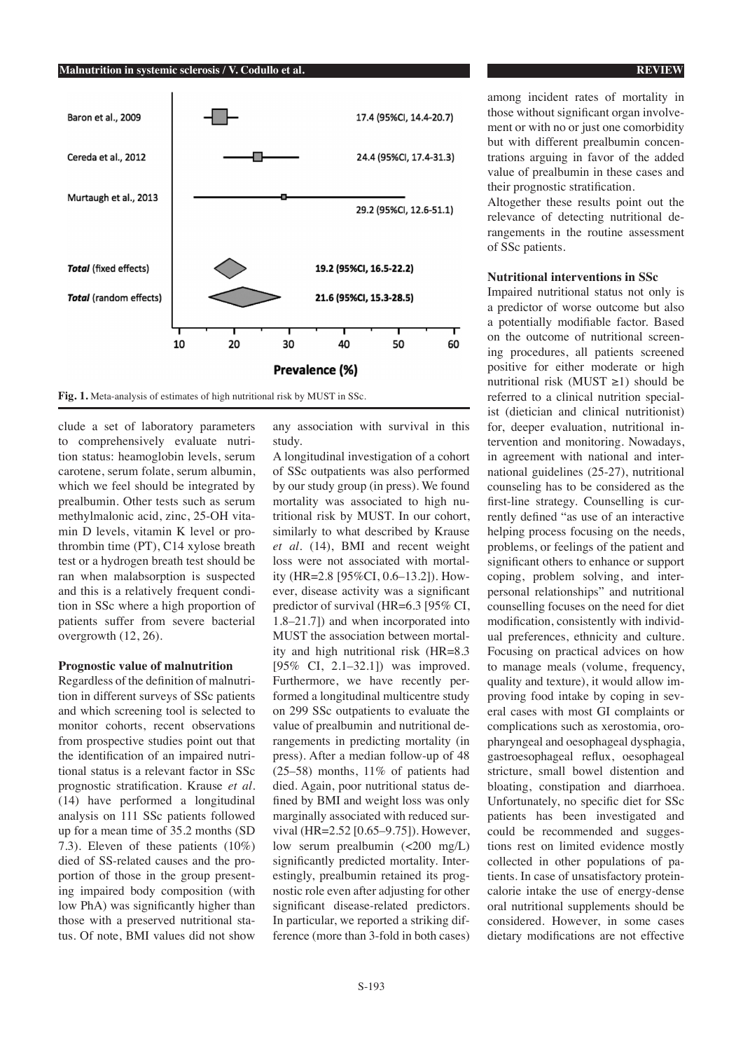#### **Malnutrition in systemic sclerosis / V. Codullo et al. REVIEW**



**Fig. 1.** Meta-analysis of estimates of high nutritional risk by MUST in SSc.

clude a set of laboratory parameters to comprehensively evaluate nutrition status: heamoglobin levels, serum carotene, serum folate, serum albumin, which we feel should be integrated by prealbumin. Other tests such as serum methylmalonic acid, zinc, 25-OH vitamin D levels, vitamin K level or prothrombin time (PT), C14 xylose breath test or a hydrogen breath test should be ran when malabsorption is suspected and this is a relatively frequent condition in SSc where a high proportion of patients suffer from severe bacterial overgrowth (12, 26).

### **Prognostic value of malnutrition**

Regardless of the definition of malnutrition in different surveys of SSc patients and which screening tool is selected to monitor cohorts, recent observations from prospective studies point out that the identification of an impaired nutritional status is a relevant factor in SSc prognostic stratification. Krause *et al.*  (14) have performed a longitudinal analysis on 111 SSc patients followed up for a mean time of 35.2 months (SD 7.3). Eleven of these patients (10%) died of SS-related causes and the proportion of those in the group presenting impaired body composition (with low PhA) was significantly higher than those with a preserved nutritional status. Of note, BMI values did not show

any association with survival in this study.

A longitudinal investigation of a cohort of SSc outpatients was also performed by our study group (in press). We found mortality was associated to high nutritional risk by MUST. In our cohort, similarly to what described by Krause *et al.* (14), BMI and recent weight loss were not associated with mortality (HR=2.8 [95%CI, 0.6–13.2]). However, disease activity was a significant predictor of survival (HR=6.3 [95% CI, 1.8–21.7]) and when incorporated into MUST the association between mortality and high nutritional risk (HR=8.3 [95% CI, 2.1–32.1]) was improved. Furthermore, we have recently performed a longitudinal multicentre study on 299 SSc outpatients to evaluate the value of prealbumin and nutritional derangements in predicting mortality (in press). After a median follow-up of 48 (25–58) months, 11% of patients had died. Again, poor nutritional status defined by BMI and weight loss was only marginally associated with reduced survival (HR=2.52 [0.65–9.75]). However, low serum prealbumin (<200 mg/L) significantly predicted mortality. Interestingly, prealbumin retained its prognostic role even after adjusting for other significant disease-related predictors. In particular, we reported a striking difference (more than 3-fold in both cases) among incident rates of mortality in those without significant organ involvement or with no or just one comorbidity but with different prealbumin concentrations arguing in favor of the added value of prealbumin in these cases and their prognostic stratification.

Altogether these results point out the relevance of detecting nutritional derangements in the routine assessment of SSc patients.

#### **Nutritional interventions in SSc**

Impaired nutritional status not only is a predictor of worse outcome but also a potentially modifiable factor. Based on the outcome of nutritional screening procedures, all patients screened positive for either moderate or high nutritional risk (MUST  $\geq$ 1) should be referred to a clinical nutrition specialist (dietician and clinical nutritionist) for, deeper evaluation, nutritional intervention and monitoring. Nowadays, in agreement with national and international guidelines (25-27), nutritional counseling has to be considered as the first-line strategy. Counselling is currently defined "as use of an interactive helping process focusing on the needs, problems, or feelings of the patient and significant others to enhance or support coping, problem solving, and interpersonal relationships" and nutritional counselling focuses on the need for diet modification, consistently with individual preferences, ethnicity and culture. Focusing on practical advices on how to manage meals (volume, frequency, quality and texture), it would allow improving food intake by coping in several cases with most GI complaints or complications such as xerostomia, oropharyngeal and oesophageal dysphagia, gastroesophageal reflux, oesophageal stricture, small bowel distention and bloating, constipation and diarrhoea. Unfortunately, no specific diet for SSc patients has been investigated and could be recommended and suggestions rest on limited evidence mostly collected in other populations of patients. In case of unsatisfactory proteincalorie intake the use of energy-dense oral nutritional supplements should be considered. However, in some cases dietary modifications are not effective